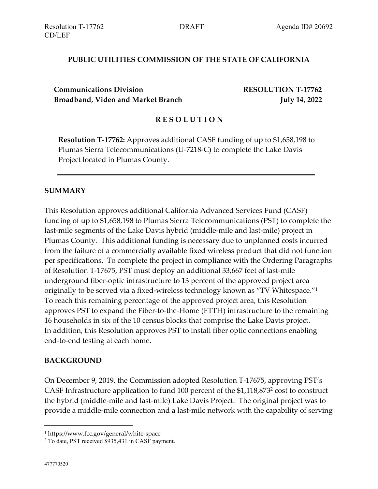### **PUBLIC UTILITIES COMMISSION OF THE STATE OF CALIFORNIA**

**Communications Division RESOLUTION T-17762 Broadband, Video and Market Branch July 14, 2022**

#### **R E S O L U T I O N**

**Resolution T-17762:** Approves additional CASF funding of up to \$1,658,198 to Plumas Sierra Telecommunications (U-7218-C) to complete the Lake Davis Project located in Plumas County.

#### **SUMMARY**

This Resolution approves additional California Advanced Services Fund (CASF) funding of up to \$1,658,198 to Plumas Sierra Telecommunications (PST) to complete the last-mile segments of the Lake Davis hybrid (middle-mile and last-mile) project in Plumas County. This additional funding is necessary due to unplanned costs incurred from the failure of a commercially available fixed wireless product that did not function per specifications. To complete the project in compliance with the Ordering Paragraphs of Resolution T-17675, PST must deploy an additional 33,667 feet of last-mile underground fiber-optic infrastructure to 13 percent of the approved project area originally to be served via a fixed-wireless technology known as "TV Whitespace."<sup>1</sup> To reach this remaining percentage of the approved project area, this Resolution approves PST to expand the Fiber-to-the-Home (FTTH) infrastructure to the remaining 16 households in six of the 10 census blocks that comprise the Lake Davis project. In addition, this Resolution approves PST to install fiber optic connections enabling end-to-end testing at each home.

#### **BACKGROUND**

On December 9, 2019, the Commission adopted Resolution T-17675, approving PST's CASF Infrastructure application to fund 100 percent of the \$1,118,873<sup>2</sup> cost to construct the hybrid (middle-mile and last-mile) Lake Davis Project. The original project was to provide a middle-mile connection and a last-mile network with the capability of serving

<sup>1</sup> https://www.fcc.gov/general/white-space

<sup>2</sup> To date, PST received \$935,431 in CASF payment.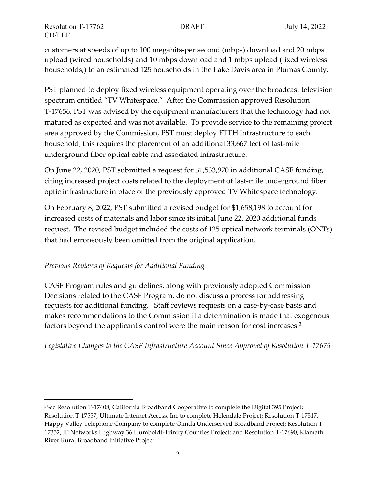customers at speeds of up to 100 megabits-per second (mbps) download and 20 mbps upload (wired households) and 10 mbps download and 1 mbps upload (fixed wireless households,) to an estimated 125 households in the Lake Davis area in Plumas County.

PST planned to deploy fixed wireless equipment operating over the broadcast television spectrum entitled "TV Whitespace." After the Commission approved Resolution T-17656, PST was advised by the equipment manufacturers that the technology had not matured as expected and was not available. To provide service to the remaining project area approved by the Commission, PST must deploy FTTH infrastructure to each household; this requires the placement of an additional 33,667 feet of last-mile underground fiber optical cable and associated infrastructure.

On June 22, 2020, PST submitted a request for \$1,533,970 in additional CASF funding, citing increased project costs related to the deployment of last-mile underground fiber optic infrastructure in place of the previously approved TV Whitespace technology.

On February 8, 2022, PST submitted a revised budget for \$1,658,198 to account for increased costs of materials and labor since its initial June 22, 2020 additional funds request. The revised budget included the costs of 125 optical network terminals (ONTs) that had erroneously been omitted from the original application.

## *Previous Reviews of Requests for Additional Funding*

CASF Program rules and guidelines, along with previously adopted Commission Decisions related to the CASF Program, do not discuss a process for addressing requests for additional funding. Staff reviews requests on a case-by-case basis and makes recommendations to the Commission if a determination is made that exogenous factors beyond the applicant's control were the main reason for cost increases.<sup>3</sup>

## *Legislative Changes to the CASF Infrastructure Account Since Approval of Resolution T-17675*

<sup>&</sup>lt;sup>3</sup>See Resolution T-17408, California Broadband Cooperative to complete the Digital 395 Project; Resolution T-17557, Ultimate Internet Access, Inc to complete Helendale Project; Resolution T-17517, Happy Valley Telephone Company to complete Olinda Underserved Broadband Project; Resolution T-17352, IP Networks Highway 36 Humboldt-Trinity Counties Project; and Resolution T-17690, Klamath River Rural Broadband Initiative Project.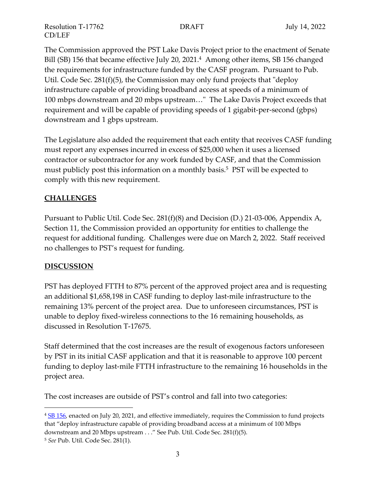The Commission approved the PST Lake Davis Project prior to the enactment of Senate Bill (SB) 156 that became effective July 20, 2021.<sup>4</sup> Among other items, SB 156 changed the requirements for infrastructure funded by the CASF program. Pursuant to Pub. Util. Code Sec. 281(f)(5), the Commission may only fund projects that "deploy infrastructure capable of providing broadband access at speeds of a minimum of 100 mbps downstream and 20 mbps upstream…" The Lake Davis Project exceeds that requirement and will be capable of providing speeds of 1 gigabit-per-second (gbps) downstream and 1 gbps upstream.

The Legislature also added the requirement that each entity that receives CASF funding must report any expenses incurred in excess of \$25,000 when it uses a licensed contractor or subcontractor for any work funded by CASF, and that the Commission must publicly post this information on a monthly basis.<sup>5</sup> PST will be expected to comply with this new requirement.

## **CHALLENGES**

Pursuant to Public Util. Code Sec. 281(f)(8) and Decision (D.) 21-03-006, Appendix A, Section 11, the Commission provided an opportunity for entities to challenge the request for additional funding. Challenges were due on March 2, 2022. Staff received no challenges to PST's request for funding.

## **DISCUSSION**

PST has deployed FTTH to 87% percent of the approved project area and is requesting an additional \$1,658,198 in CASF funding to deploy last-mile infrastructure to the remaining 13% percent of the project area. Due to unforeseen circumstances, PST is unable to deploy fixed-wireless connections to the 16 remaining households, as discussed in Resolution T-17675.

Staff determined that the cost increases are the result of exogenous factors unforeseen by PST in its initial CASF application and that it is reasonable to approve 100 percent funding to deploy last-mile FTTH infrastructure to the remaining 16 households in the project area.

The cost increases are outside of PST's control and fall into two categories:

<sup>&</sup>lt;sup>4</sup> SB [156,](https://leginfo.legislature.ca.gov/faces/billTextClient.xhtml?bill_id=202120220SB156) enacted on July 20, 2021, and effective immediately, requires the Commission to fund projects that "deploy infrastructure capable of providing broadband access at a minimum of 100 Mbps downstream and 20 Mbps upstream . . ." See Pub. Util. Code Sec. 281(f)(5).

<sup>5</sup> *See* Pub. Util. Code Sec. 281(1).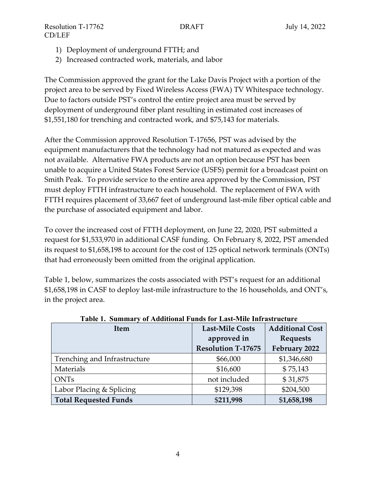- 1) Deployment of underground FTTH; and
- 2) Increased contracted work, materials, and labor

The Commission approved the grant for the Lake Davis Project with a portion of the project area to be served by Fixed Wireless Access (FWA) TV Whitespace technology. Due to factors outside PST's control the entire project area must be served by deployment of underground fiber plant resulting in estimated cost increases of \$1,551,180 for trenching and contracted work, and \$75,143 for materials.

After the Commission approved Resolution T-17656, PST was advised by the equipment manufacturers that the technology had not matured as expected and was not available. Alternative FWA products are not an option because PST has been unable to acquire a United States Forest Service (USFS) permit for a broadcast point on Smith Peak. To provide service to the entire area approved by the Commission, PST must deploy FTTH infrastructure to each household. The replacement of FWA with FTTH requires placement of 33,667 feet of underground last-mile fiber optical cable and the purchase of associated equipment and labor.

To cover the increased cost of FTTH deployment, on June 22, 2020, PST submitted a request for \$1,533,970 in additional CASF funding. On February 8, 2022, PST amended its request to \$1,658,198 to account for the cost of 125 optical network terminals (ONTs) that had erroneously been omitted from the original application.

Table 1, below, summarizes the costs associated with PST's request for an additional \$1,658,198 in CASF to deploy last-mile infrastructure to the 16 households, and ONT's, in the project area.

| Item                         | <b>Last-Mile Costs</b>    | <b>Additional Cost</b> |
|------------------------------|---------------------------|------------------------|
|                              | approved in               | <b>Requests</b>        |
|                              | <b>Resolution T-17675</b> | February 2022          |
| Trenching and Infrastructure | \$66,000                  | \$1,346,680            |
| Materials                    | \$16,600                  | \$75,143               |
| <b>ONTs</b>                  | not included              | \$31,875               |
| Labor Placing & Splicing     | \$129,398                 | \$204,500              |
| <b>Total Requested Funds</b> | \$211,998                 | \$1,658,198            |

**Table 1. Summary of Additional Funds for Last-Mile Infrastructure**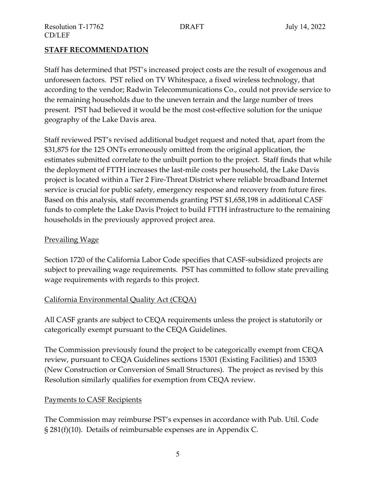### **STAFF RECOMMENDATION**

Staff has determined that PST's increased project costs are the result of exogenous and unforeseen factors. PST relied on TV Whitespace, a fixed wireless technology, that according to the vendor; Radwin Telecommunications Co., could not provide service to the remaining households due to the uneven terrain and the large number of trees present. PST had believed it would be the most cost-effective solution for the unique geography of the Lake Davis area.

Staff reviewed PST's revised additional budget request and noted that, apart from the \$31,875 for the 125 ONTs erroneously omitted from the original application, the estimates submitted correlate to the unbuilt portion to the project. Staff finds that while the deployment of FTTH increases the last-mile costs per household, the Lake Davis project is located within a Tier 2 Fire-Threat District where reliable broadband Internet service is crucial for public safety, emergency response and recovery from future fires. Based on this analysis, staff recommends granting PST \$1,658,198 in additional CASF funds to complete the Lake Davis Project to build FTTH infrastructure to the remaining households in the previously approved project area.

### Prevailing Wage

Section 1720 of the California Labor Code specifies that CASF-subsidized projects are subject to prevailing wage requirements. PST has committed to follow state prevailing wage requirements with regards to this project.

## California Environmental Quality Act (CEQA)

All CASF grants are subject to CEQA requirements unless the project is statutorily or categorically exempt pursuant to the CEQA Guidelines.

The Commission previously found the project to be categorically exempt from CEQA review, pursuant to CEQA Guidelines sections 15301 (Existing Facilities) and 15303 (New Construction or Conversion of Small Structures). The project as revised by this Resolution similarly qualifies for exemption from CEQA review.

## Payments to CASF Recipients

The Commission may reimburse PST's expenses in accordance with Pub. Util. Code § 281(f)(10). Details of reimbursable expenses are in Appendix C.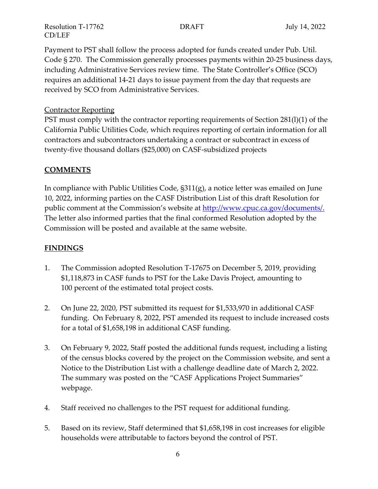Payment to PST shall follow the process adopted for funds created under Pub. Util. Code § 270. The Commission generally processes payments within 20-25 business days, including Administrative Services review time. The State Controller's Office (SCO) requires an additional 14-21 days to issue payment from the day that requests are received by SCO from Administrative Services.

### Contractor Reporting

PST must comply with the contractor reporting requirements of Section 281(l)(1) of the California Public Utilities Code, which requires reporting of certain information for all contractors and subcontractors undertaking a contract or subcontract in excess of twenty-five thousand dollars (\$25,000) on CASF-subsidized projects

## **COMMENTS**

In compliance with Public Utilities Code, §311(g), a notice letter was emailed on June 10, 2022, informing parties on the CASF Distribution List of this draft Resolution for public comment at the Commission's website at [http://www.cpuc.ca.gov/documents/.](http://www.cpuc.ca.gov/documents/)  The letter also informed parties that the final conformed Resolution adopted by the Commission will be posted and available at the same website.

## **FINDINGS**

- 1. The Commission adopted Resolution T-17675 on December 5, 2019, providing \$1,118,873 in CASF funds to PST for the Lake Davis Project, amounting to 100 percent of the estimated total project costs.
- 2. On June 22, 2020, PST submitted its request for \$1,533,970 in additional CASF funding. On February 8, 2022, PST amended its request to include increased costs for a total of \$1,658,198 in additional CASF funding.
- 3. On February 9, 2022, Staff posted the additional funds request, including a listing of the census blocks covered by the project on the Commission website, and sent a Notice to the Distribution List with a challenge deadline date of March 2, 2022. The summary was posted on the "CASF Applications Project Summaries" webpage.
- 4. Staff received no challenges to the PST request for additional funding.
- 5. Based on its review, Staff determined that \$1,658,198 in cost increases for eligible households were attributable to factors beyond the control of PST.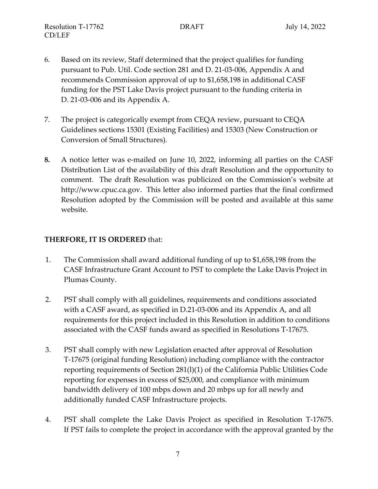- 6. Based on its review, Staff determined that the project qualifies for funding pursuant to Pub. Util. Code section 281 and D. 21-03-006, Appendix A and recommends Commission approval of up to \$1,658,198 in additional CASF funding for the PST Lake Davis project pursuant to the funding criteria in D. 21-03-006 and its Appendix A.
- 7. The project is categorically exempt from CEQA review, pursuant to CEQA Guidelines sections 15301 (Existing Facilities) and 15303 (New Construction or Conversion of Small Structures).
- **8.** A notice letter was e-mailed on June 10, 2022, informing all parties on the CASF Distribution List of the availability of this draft Resolution and the opportunity to comment. The draft Resolution was publicized on the Commission's website at http://www.cpuc.ca.gov. This letter also informed parties that the final confirmed Resolution adopted by the Commission will be posted and available at this same website.

## **THERFORE, IT IS ORDERED** that:

- 1. The Commission shall award additional funding of up to \$1,658,198 from the CASF Infrastructure Grant Account to PST to complete the Lake Davis Project in Plumas County.
- 2. PST shall comply with all guidelines, requirements and conditions associated with a CASF award, as specified in D.21-03-006 and its Appendix A, and all requirements for this project included in this Resolution in addition to conditions associated with the CASF funds award as specified in Resolutions T-17675.
- 3. PST shall comply with new Legislation enacted after approval of Resolution T-17675 (original funding Resolution) including compliance with the contractor reporting requirements of Section 281(l)(1) of the California Public Utilities Code reporting for expenses in excess of \$25,000, and compliance with minimum bandwidth delivery of 100 mbps down and 20 mbps up for all newly and additionally funded CASF Infrastructure projects.
- 4. PST shall complete the Lake Davis Project as specified in Resolution T-17675. If PST fails to complete the project in accordance with the approval granted by the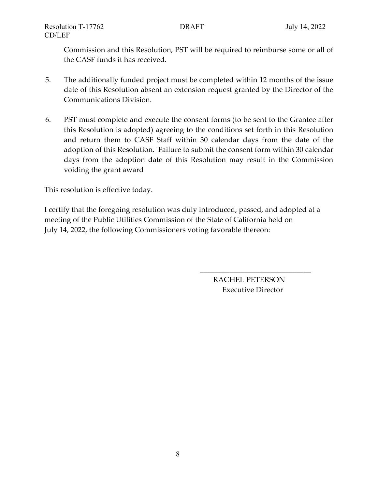Commission and this Resolution, PST will be required to reimburse some or all of the CASF funds it has received.

- 5. The additionally funded project must be completed within 12 months of the issue date of this Resolution absent an extension request granted by the Director of the Communications Division.
- 6. PST must complete and execute the consent forms (to be sent to the Grantee after this Resolution is adopted) agreeing to the conditions set forth in this Resolution and return them to CASF Staff within 30 calendar days from the date of the adoption of this Resolution. Failure to submit the consent form within 30 calendar days from the adoption date of this Resolution may result in the Commission voiding the grant award

This resolution is effective today.

I certify that the foregoing resolution was duly introduced, passed, and adopted at a meeting of the Public Utilities Commission of the State of California held on July 14, 2022, the following Commissioners voting favorable thereon:

> RACHEL PETERSON Executive Director

\_\_\_\_\_\_\_\_\_\_\_\_\_\_\_\_\_\_\_\_\_\_\_\_\_\_\_\_\_\_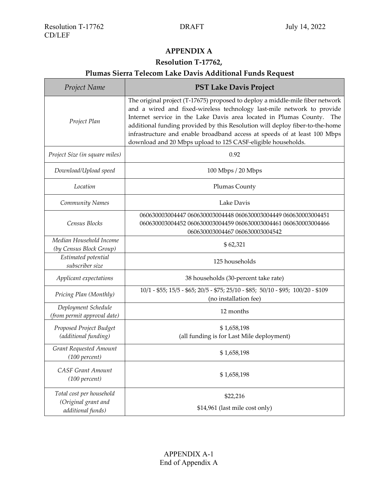п

## **APPENDIX A**

### **Resolution T-17762,**

# **Plumas Sierra Telecom Lake Davis Additional Funds Request**

| Project Name                                       | <b>PST Lake Davis Project</b>                                                                                                                                                                                                                                                                                                                                                                                                                                    |  |
|----------------------------------------------------|------------------------------------------------------------------------------------------------------------------------------------------------------------------------------------------------------------------------------------------------------------------------------------------------------------------------------------------------------------------------------------------------------------------------------------------------------------------|--|
| Project Plan                                       | The original project (T-17675) proposed to deploy a middle-mile fiber network<br>and a wired and fixed-wireless technology last-mile network to provide<br>Internet service in the Lake Davis area located in Plumas County.<br>The<br>additional funding provided by this Resolution will deploy fiber-to-the-home<br>infrastructure and enable broadband access at speeds of at least 100 Mbps<br>download and 20 Mbps upload to 125 CASF-eligible households. |  |
| Project Size (in square miles)                     | 0.92                                                                                                                                                                                                                                                                                                                                                                                                                                                             |  |
| Download/Upload speed                              | 100 Mbps / 20 Mbps                                                                                                                                                                                                                                                                                                                                                                                                                                               |  |
| Location                                           | <b>Plumas County</b>                                                                                                                                                                                                                                                                                                                                                                                                                                             |  |
| Community Names                                    | Lake Davis                                                                                                                                                                                                                                                                                                                                                                                                                                                       |  |
| Census Blocks                                      | 060630003004447 060630003004448 060630003004449 060630003004451<br>060630003004452 060630003004459 060630003004461 060630003004466<br>060630003004467 060630003004542                                                                                                                                                                                                                                                                                            |  |
| Median Household Income<br>(by Census Block Group) | \$62,321                                                                                                                                                                                                                                                                                                                                                                                                                                                         |  |
| Estimated potential<br>subscriber size             | 125 households                                                                                                                                                                                                                                                                                                                                                                                                                                                   |  |
| Applicant expectations                             | 38 households (30-percent take rate)                                                                                                                                                                                                                                                                                                                                                                                                                             |  |
| Pricing Plan (Monthly)                             | 10/1 - \$55; 15/5 - \$65; 20/5 - \$75; 25/10 - \$85; 50/10 - \$95; 100/20 - \$109<br>(no installation fee)                                                                                                                                                                                                                                                                                                                                                       |  |
| Deployment Schedule<br>(from permit approval date) | 12 months                                                                                                                                                                                                                                                                                                                                                                                                                                                        |  |
| Proposed Project Budget<br>(additional funding)    | \$1,658,198<br>(all funding is for Last Mile deployment)                                                                                                                                                                                                                                                                                                                                                                                                         |  |
| Grant Requested Amount<br>(100 percent)            | \$1,658,198                                                                                                                                                                                                                                                                                                                                                                                                                                                      |  |
| <b>CASF Grant Amount</b><br>(100 percent)          | \$1,658,198                                                                                                                                                                                                                                                                                                                                                                                                                                                      |  |
| Total cost per household<br>(Original grant and    | \$22,216                                                                                                                                                                                                                                                                                                                                                                                                                                                         |  |
| additional funds)                                  | \$14,961 (last mile cost only)                                                                                                                                                                                                                                                                                                                                                                                                                                   |  |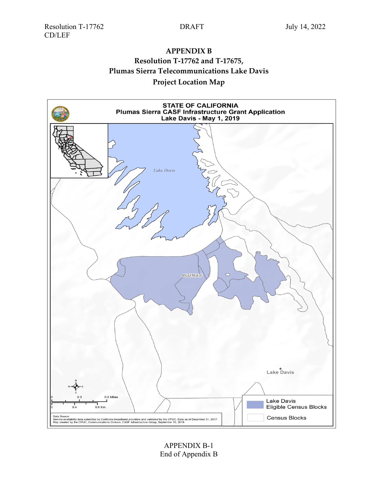CD/LEF

## **APPENDIX B Resolution T-17762 and T-17675,**

**Plumas Sierra Telecommunications Lake Davis**

## **Project Location Map**